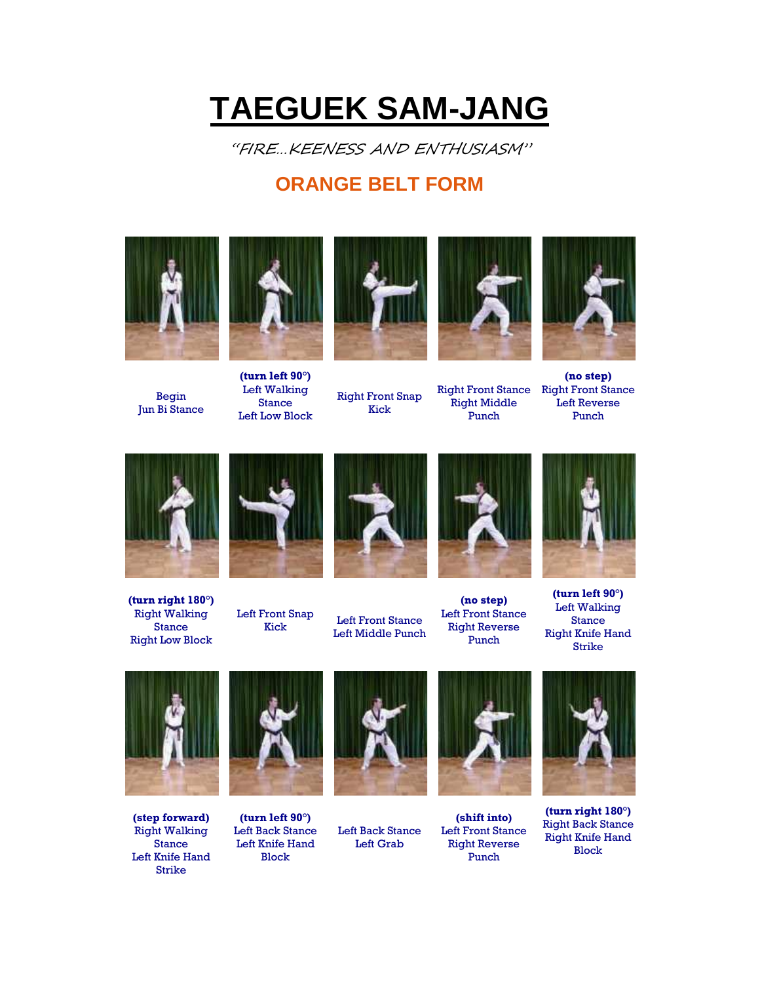## **TAEGUEK SAM-JANG**

"FIRE…KEENESS AND ENTHUSIASM"

## **ORANGE BELT FORM**



Begin Jun Bi Stance



**(turn left 90°)** Left Walking Stance Left Low Block Right Front Snap Kick



Right Front Stance Right Front Stance Right Middle Punch



**(no step)** Left Reverse Punch



**(turn right 180°)** Right Walking **Stance** Right Low Block



Left Front Snap



From Shap Left Front Stance Left Middle Punch



**(no step)** Left Front Stance Right Reverse Punch



**(turn left 90°)** Left Walking Stance Right Knife Hand Strike



**(step forward)** Right Walking Stance Left Knife Hand Strike



**(turn left 90°)** Left Back Stance Left Knife Hand Block



Left Back Stance Left Grab



**(shift into)** Left Front Stance Right Reverse Punch



**(turn right 180°)** Right Back Stance Right Knife Hand Block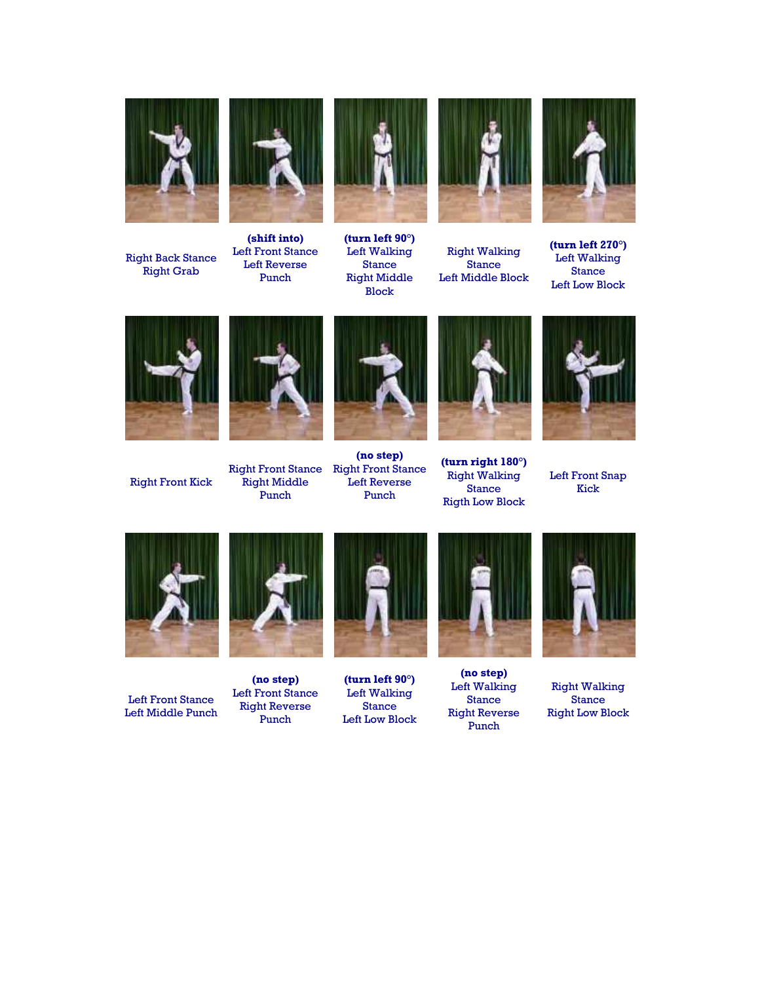

Right Back Stance Right Grab



**(shift into)** Left Front Stance Left Reverse Punch



**(turn left 90°)** Left Walking Stance Right Middle Block



Right Walking Stance Left Middle Block



**(turn left 270°)** Left Walking Stance Left Low Block



Right Front Kick



Right Middle Punch



Right Front Stance Right Front Stance **(no step)** Left Reverse Punch



**(turn right 180°)** Right Walking Stance Rigth Low Block



Left Front Snap Kick



Left Front Stance Left Middle Punch



**(no step)** Left Front Stance Right Reverse Punch



**(turn left 90°)** Left Walking Stance Left Low Block



**(no step)** Left Walking Stance Right Reverse Punch



Right Walking Stance Right Low Block